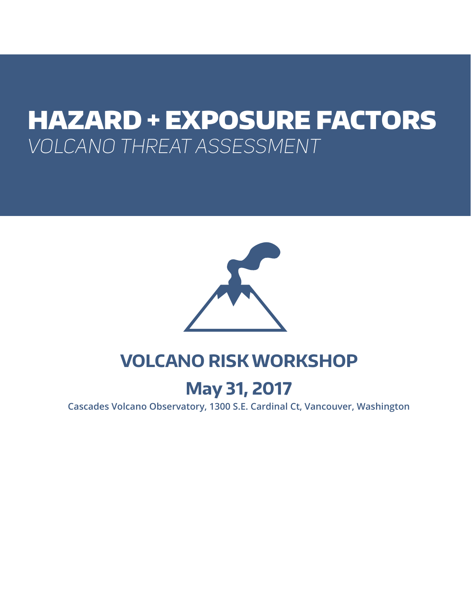# HAZARD + EXPOSURE FACTORS *VOLCANO THREAT ASSESSMENT*



# **VOLCANO RISK WORKSHOP**

# **May 31, 2017**

**Cascades Volcano Observatory, 1300 S.E. Cardinal Ct, Vancouver, Washington**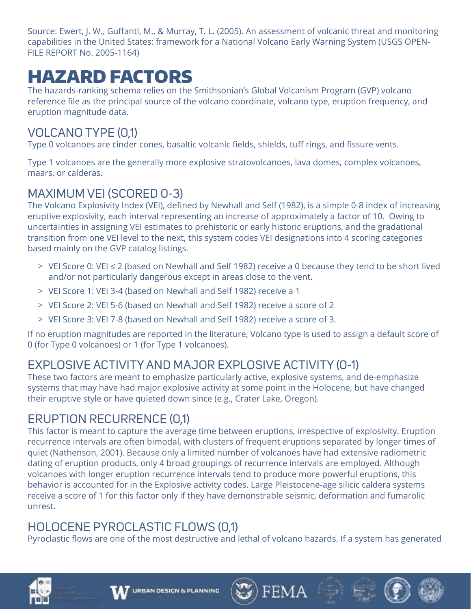Source: Ewert, J. W., Guffanti, M., & Murray, T. L. (2005). An assessment of volcanic threat and monitoring capabilities in the United States: framework for a National Volcano Early Warning System (USGS OPEN-FILE REPORT No. 2005-1164)

# HAZARD FACTORS

The hazards-ranking schema relies on the Smithsonian's Global Volcanism Program (GVP) volcano reference file as the principal source of the volcano coordinate, volcano type, eruption frequency, and eruption magnitude data.

# VOLCANO TYPE (0,1)

Type 0 volcanoes are cinder cones, basaltic volcanic fields, shields, tuff rings, and fissure vents.

Type 1 volcanoes are the generally more explosive stratovolcanoes, lava domes, complex volcanoes, maars, or calderas.

# MAXIMUM VEI (SCORED 0-3)

The Volcano Explosivity Index (VEI), defined by Newhall and Self (1982), is a simple 0-8 index of increasing eruptive explosivity, each interval representing an increase of approximately a factor of 10. Owing to uncertainties in assigning VEI estimates to prehistoric or early historic eruptions, and the gradational transition from one VEI level to the next, this system codes VEI designations into 4 scoring categories based mainly on the GVP catalog listings.

- > VEI Score 0: VEI ≤ 2 (based on Newhall and Self 1982) receive a 0 because they tend to be short lived and/or not particularly dangerous except in areas close to the vent.
- > VEI Score 1: VEI 3-4 (based on Newhall and Self 1982) receive a 1
- > VEI Score 2: VEI 5-6 (based on Newhall and Self 1982) receive a score of 2
- > VEI Score 3: VEI 7-8 (based on Newhall and Self 1982) receive a score of 3.

If no eruption magnitudes are reported in the literature, Volcano type is used to assign a default score of 0 (for Type 0 volcanoes) or 1 (for Type 1 volcanoes).

# EXPLOSIVE ACTIVITY AND MAJOR EXPLOSIVE ACTIVITY (0-1)

These two factors are meant to emphasize particularly active, explosive systems, and de-emphasize systems that may have had major explosive activity at some point in the Holocene, but have changed their eruptive style or have quieted down since (e.g., Crater Lake, Oregon).

# ERUPTION RECURRENCE (0,1)

This factor is meant to capture the average time between eruptions, irrespective of explosivity. Eruption recurrence intervals are often bimodal, with clusters of frequent eruptions separated by longer times of quiet (Nathenson, 2001). Because only a limited number of volcanoes have had extensive radiometric dating of eruption products, only 4 broad groupings of recurrence intervals are employed. Although volcanoes with longer eruption recurrence intervals tend to produce more powerful eruptions, this behavior is accounted for in the Explosive activity codes. Large Pleistocene-age silicic caldera systems receive a score of 1 for this factor only if they have demonstrable seismic, deformation and fumarolic unrest.

# HOLOCENE PYROCLASTIC FLOWS (0,1)

Pyroclastic flows are one of the most destructive and lethal of volcano hazards. If a system has generated

FEMA



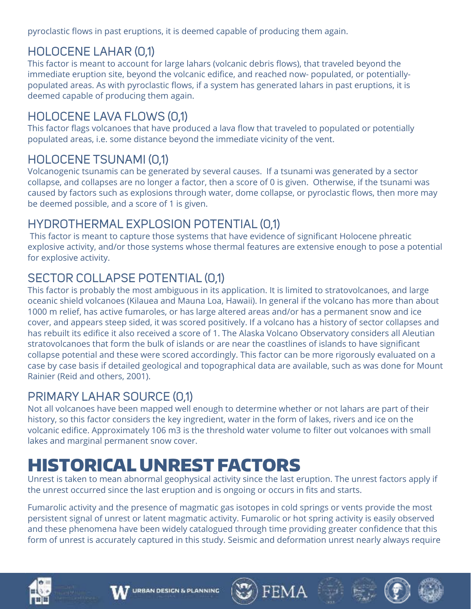pyroclastic flows in past eruptions, it is deemed capable of producing them again.

# HOLOCENE LAHAR (0,1)

This factor is meant to account for large lahars (volcanic debris flows), that traveled beyond the immediate eruption site, beyond the volcanic edifice, and reached now- populated, or potentiallypopulated areas. As with pyroclastic flows, if a system has generated lahars in past eruptions, it is deemed capable of producing them again.

# HOLOCENE LAVA FLOWS (0,1)

This factor flags volcanoes that have produced a lava flow that traveled to populated or potentially populated areas, i.e. some distance beyond the immediate vicinity of the vent.

# HOLOCENE TSUNAMI (0,1)

Volcanogenic tsunamis can be generated by several causes. If a tsunami was generated by a sector collapse, and collapses are no longer a factor, then a score of 0 is given. Otherwise, if the tsunami was caused by factors such as explosions through water, dome collapse, or pyroclastic flows, then more may be deemed possible, and a score of 1 is given.

# HYDROTHERMAL EXPLOSION POTENTIAL (0,1)

 This factor is meant to capture those systems that have evidence of significant Holocene phreatic explosive activity, and/or those systems whose thermal features are extensive enough to pose a potential for explosive activity.

# SECTOR COLLAPSE POTENTIAL (0,1)

This factor is probably the most ambiguous in its application. It is limited to stratovolcanoes, and large oceanic shield volcanoes (Kilauea and Mauna Loa, Hawaii). In general if the volcano has more than about 1000 m relief, has active fumaroles, or has large altered areas and/or has a permanent snow and ice cover, and appears steep sided, it was scored positively. If a volcano has a history of sector collapses and has rebuilt its edifice it also received a score of 1. The Alaska Volcano Observatory considers all Aleutian stratovolcanoes that form the bulk of islands or are near the coastlines of islands to have significant collapse potential and these were scored accordingly. This factor can be more rigorously evaluated on a case by case basis if detailed geological and topographical data are available, such as was done for Mount Rainier (Reid and others, 2001).

# PRIMARY LAHAR SOURCE (0,1)

Not all volcanoes have been mapped well enough to determine whether or not lahars are part of their history, so this factor considers the key ingredient, water in the form of lakes, rivers and ice on the volcanic edifice. Approximately 106 m3 is the threshold water volume to filter out volcanoes with small lakes and marginal permanent snow cover.

# HISTORICAL UNREST FACTORS

Unrest is taken to mean abnormal geophysical activity since the last eruption. The unrest factors apply if the unrest occurred since the last eruption and is ongoing or occurs in fits and starts.

Fumarolic activity and the presence of magmatic gas isotopes in cold springs or vents provide the most persistent signal of unrest or latent magmatic activity. Fumarolic or hot spring activity is easily observed and these phenomena have been widely catalogued through time providing greater confidence that this form of unrest is accurately captured in this study. Seismic and deformation unrest nearly always require









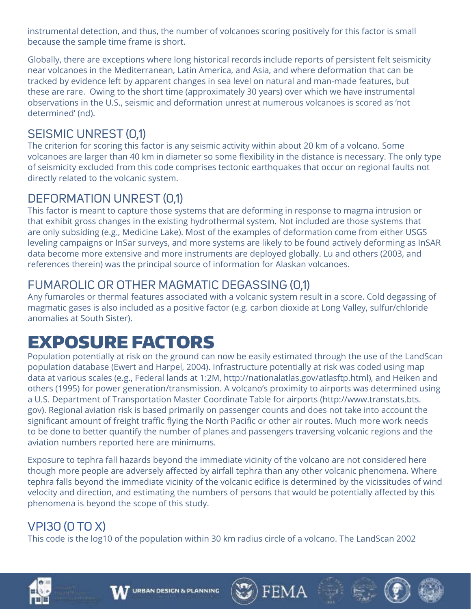instrumental detection, and thus, the number of volcanoes scoring positively for this factor is small because the sample time frame is short.

Globally, there are exceptions where long historical records include reports of persistent felt seismicity near volcanoes in the Mediterranean, Latin America, and Asia, and where deformation that can be tracked by evidence left by apparent changes in sea level on natural and man-made features, but these are rare. Owing to the short time (approximately 30 years) over which we have instrumental observations in the U.S., seismic and deformation unrest at numerous volcanoes is scored as 'not determined' (nd).

# SEISMIC UNREST (0,1)

The criterion for scoring this factor is any seismic activity within about 20 km of a volcano. Some volcanoes are larger than 40 km in diameter so some flexibility in the distance is necessary. The only type of seismicity excluded from this code comprises tectonic earthquakes that occur on regional faults not directly related to the volcanic system.

## DEFORMATION UNREST (0,1)

This factor is meant to capture those systems that are deforming in response to magma intrusion or that exhibit gross changes in the existing hydrothermal system. Not included are those systems that are only subsiding (e.g., Medicine Lake). Most of the examples of deformation come from either USGS leveling campaigns or InSar surveys, and more systems are likely to be found actively deforming as InSAR data become more extensive and more instruments are deployed globally. Lu and others (2003, and references therein) was the principal source of information for Alaskan volcanoes.

# FUMAROLIC OR OTHER MAGMATIC DEGASSING (0,1)

Any fumaroles or thermal features associated with a volcanic system result in a score. Cold degassing of magmatic gases is also included as a positive factor (e.g. carbon dioxide at Long Valley, sulfur/chloride anomalies at South Sister).

# EXPOSURE FACTORS

Population potentially at risk on the ground can now be easily estimated through the use of the LandScan population database (Ewert and Harpel, 2004). Infrastructure potentially at risk was coded using map data at various scales (e.g., Federal lands at 1:2M, [http://nationalatlas.gov/atlasftp.html\),](http://nationalatlas.gov/atlasftp.html)) and Heiken and others (1995) for power generation/transmission. A volcano's proximity to airports was determined using a U.S. Department of Transportation Master Coordinate Table for airports (http://www.transtats.bts. gov). Regional aviation risk is based primarily on passenger counts and does not take into account the significant amount of freight traffic flying the North Pacific or other air routes. Much more work needs to be done to better quantify the number of planes and passengers traversing volcanic regions and the aviation numbers reported here are minimums.

Exposure to tephra fall hazards beyond the immediate vicinity of the volcano are not considered here though more people are adversely affected by airfall tephra than any other volcanic phenomena. Where tephra falls beyond the immediate vicinity of the volcanic edifice is determined by the vicissitudes of wind velocity and direction, and estimating the numbers of persons that would be potentially affected by this phenomena is beyond the scope of this study.

FEMA

# VPI30 (0 TO X)

This code is the log10 of the population within 30 km radius circle of a volcano. The LandScan 2002



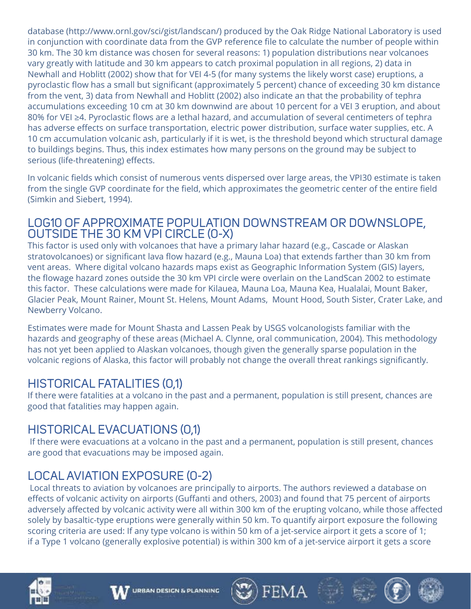database [\(http://www.ornl.gov/sci/gist/landscan/\)](http://www.ornl.gov/sci/gist/landscan/)) produced by the Oak Ridge National Laboratory is used in conjunction with coordinate data from the GVP reference file to calculate the number of people within 30 km. The 30 km distance was chosen for several reasons: 1) population distributions near volcanoes vary greatly with latitude and 30 km appears to catch proximal population in all regions, 2) data in Newhall and Hoblitt (2002) show that for VEI 4-5 (for many systems the likely worst case) eruptions, a pyroclastic flow has a small but significant (approximately 5 percent) chance of exceeding 30 km distance from the vent, 3) data from Newhall and Hoblitt (2002) also indicate an that the probability of tephra accumulations exceeding 10 cm at 30 km downwind are about 10 percent for a VEI 3 eruption, and about 80% for VEI ≥4. Pyroclastic flows are a lethal hazard, and accumulation of several centimeters of tephra has adverse effects on surface transportation, electric power distribution, surface water supplies, etc. A 10 cm accumulation volcanic ash, particularly if it is wet, is the threshold beyond which structural damage to buildings begins. Thus, this index estimates how many persons on the ground may be subject to serious (life-threatening) effects.

In volcanic fields which consist of numerous vents dispersed over large areas, the VPI30 estimate is taken from the single GVP coordinate for the field, which approximates the geometric center of the entire field (Simkin and Siebert, 1994).

## LOG10 OF APPROXIMATE POPULATION DOWNSTREAM OR DOWNSLOPE, OUTSIDE THE 30 KM VPI CIRCLE (0-X)

This factor is used only with volcanoes that have a primary lahar hazard (e.g., Cascade or Alaskan stratovolcanoes) or significant lava flow hazard (e.g., Mauna Loa) that extends farther than 30 km from vent areas. Where digital volcano hazards maps exist as Geographic Information System (GIS) layers, the flowage hazard zones outside the 30 km VPI circle were overlain on the LandScan 2002 to estimate this factor. These calculations were made for Kilauea, Mauna Loa, Mauna Kea, Hualalai, Mount Baker, Glacier Peak, Mount Rainer, Mount St. Helens, Mount Adams, Mount Hood, South Sister, Crater Lake, and Newberry Volcano.

Estimates were made for Mount Shasta and Lassen Peak by USGS volcanologists familiar with the hazards and geography of these areas (Michael A. Clynne, oral communication, 2004). This methodology has not yet been applied to Alaskan volcanoes, though given the generally sparse population in the volcanic regions of Alaska, this factor will probably not change the overall threat rankings significantly.

## HISTORICAL FATALITIES (0,1)

If there were fatalities at a volcano in the past and a permanent, population is still present, chances are good that fatalities may happen again.

## HISTORICAL EVACUATIONS (0,1)

 If there were evacuations at a volcano in the past and a permanent, population is still present, chances are good that evacuations may be imposed again.

## LOCAL AVIATION EXPOSURE (0-2)

 Local threats to aviation by volcanoes are principally to airports. The authors reviewed a database on effects of volcanic activity on airports (Guffanti and others, 2003) and found that 75 percent of airports adversely affected by volcanic activity were all within 300 km of the erupting volcano, while those affected solely by basaltic-type eruptions were generally within 50 km. To quantify airport exposure the following scoring criteria are used: If any type volcano is within 50 km of a jet-service airport it gets a score of 1; if a Type 1 volcano (generally explosive potential) is within 300 km of a jet-service airport it gets a score

 $FFMA$ 



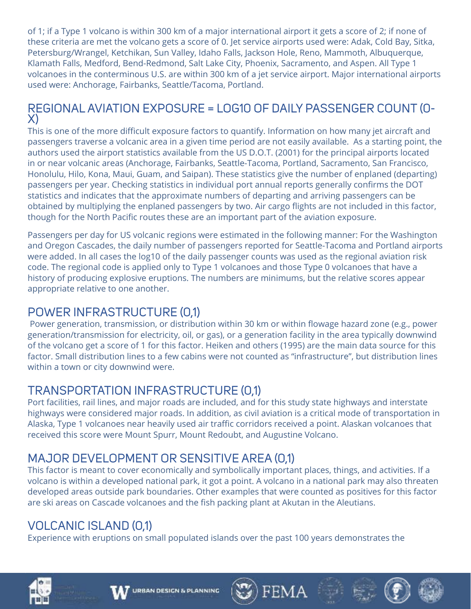of 1; if a Type 1 volcano is within 300 km of a major international airport it gets a score of 2; if none of these criteria are met the volcano gets a score of 0. Jet service airports used were: Adak, Cold Bay, Sitka, Petersburg/Wrangel, Ketchikan, Sun Valley, Idaho Falls, Jackson Hole, Reno, Mammoth, Albuquerque, Klamath Falls, Medford, Bend-Redmond, Salt Lake City, Phoenix, Sacramento, and Aspen. All Type 1 volcanoes in the conterminous U.S. are within 300 km of a jet service airport. Major international airports used were: Anchorage, Fairbanks, Seattle/Tacoma, Portland.

## REGIONAL AVIATION EXPOSURE = LOG10 OF DAILY PASSENGER COUNT (0- X)

This is one of the more difficult exposure factors to quantify. Information on how many jet aircraft and passengers traverse a volcanic area in a given time period are not easily available. As a starting point, the authors used the airport statistics available from the US D.O.T. (2001) for the principal airports located in or near volcanic areas (Anchorage, Fairbanks, Seattle-Tacoma, Portland, Sacramento, San Francisco, Honolulu, Hilo, Kona, Maui, Guam, and Saipan). These statistics give the number of enplaned (departing) passengers per year. Checking statistics in individual port annual reports generally confirms the DOT statistics and indicates that the approximate numbers of departing and arriving passengers can be obtained by multiplying the enplaned passengers by two. Air cargo flights are not included in this factor, though for the North Pacific routes these are an important part of the aviation exposure.

Passengers per day for US volcanic regions were estimated in the following manner: For the Washington and Oregon Cascades, the daily number of passengers reported for Seattle-Tacoma and Portland airports were added. In all cases the log10 of the daily passenger counts was used as the regional aviation risk code. The regional code is applied only to Type 1 volcanoes and those Type 0 volcanoes that have a history of producing explosive eruptions. The numbers are minimums, but the relative scores appear appropriate relative to one another.

## POWER INFRASTRUCTURE (0,1)

 Power generation, transmission, or distribution within 30 km or within flowage hazard zone (e.g., power generation/transmission for electricity, oil, or gas), or a generation facility in the area typically downwind of the volcano get a score of 1 for this factor. Heiken and others (1995) are the main data source for this factor. Small distribution lines to a few cabins were not counted as "infrastructure", but distribution lines within a town or city downwind were.

# TRANSPORTATION INFRASTRUCTURE (0,1)

Port facilities, rail lines, and major roads are included, and for this study state highways and interstate highways were considered major roads. In addition, as civil aviation is a critical mode of transportation in Alaska, Type 1 volcanoes near heavily used air traffic corridors received a point. Alaskan volcanoes that received this score were Mount Spurr, Mount Redoubt, and Augustine Volcano.

# MAJOR DEVELOPMENT OR SENSITIVE AREA (0,1)

This factor is meant to cover economically and symbolically important places, things, and activities. If a volcano is within a developed national park, it got a point. A volcano in a national park may also threaten developed areas outside park boundaries. Other examples that were counted as positives for this factor are ski areas on Cascade volcanoes and the fish packing plant at Akutan in the Aleutians.

# VOLCANIC ISLAND (0,1)

Experience with eruptions on small populated islands over the past 100 years demonstrates the









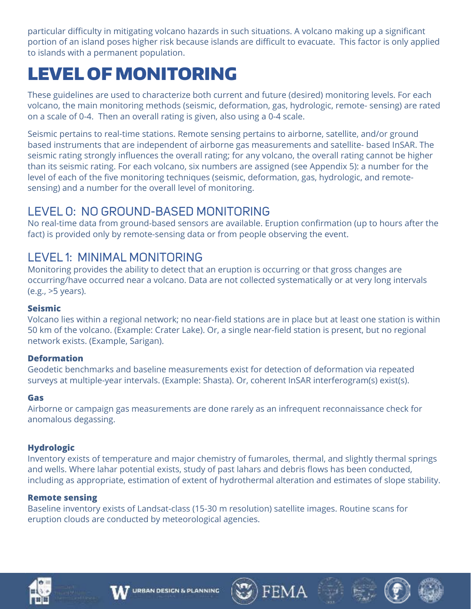particular difficulty in mitigating volcano hazards in such situations. A volcano making up a significant portion of an island poses higher risk because islands are difficult to evacuate. This factor is only applied to islands with a permanent population.

# LEVEL OF MONITORING

These guidelines are used to characterize both current and future (desired) monitoring levels. For each volcano, the main monitoring methods (seismic, deformation, gas, hydrologic, remote- sensing) are rated on a scale of 0-4. Then an overall rating is given, also using a 0-4 scale.

Seismic pertains to real-time stations. Remote sensing pertains to airborne, satellite, and/or ground based instruments that are independent of airborne gas measurements and satellite- based InSAR. The seismic rating strongly influences the overall rating; for any volcano, the overall rating cannot be higher than its seismic rating. For each volcano, six numbers are assigned (see Appendix 5): a number for the level of each of the five monitoring techniques (seismic, deformation, gas, hydrologic, and remotesensing) and a number for the overall level of monitoring.

## LEVEL 0: NO GROUND-BASED MONITORING

No real-time data from ground-based sensors are available. Eruption confirmation (up to hours after the fact) is provided only by remote-sensing data or from people observing the event.

## LEVEL 1: MINIMAL MONITORING

Monitoring provides the ability to detect that an eruption is occurring or that gross changes are occurring/have occurred near a volcano. Data are not collected systematically or at very long intervals (e.g., >5 years).

## **Seismic**

Volcano lies within a regional network; no near-field stations are in place but at least one station is within 50 km of the volcano. (Example: Crater Lake). Or, a single near-field station is present, but no regional network exists. (Example, Sarigan).

## **Deformation**

Geodetic benchmarks and baseline measurements exist for detection of deformation via repeated surveys at multiple-year intervals. (Example: Shasta). Or, coherent InSAR interferogram(s) exist(s).

## **Gas**

Airborne or campaign gas measurements are done rarely as an infrequent reconnaissance check for anomalous degassing.

## **Hydrologic**

Inventory exists of temperature and major chemistry of fumaroles, thermal, and slightly thermal springs and wells. Where lahar potential exists, study of past lahars and debris flows has been conducted, including as appropriate, estimation of extent of hydrothermal alteration and estimates of slope stability.

FEMA

## **Remote sensing**

Baseline inventory exists of Landsat-class (15-30 m resolution) satellite images. Routine scans for eruption clouds are conducted by meteorological agencies.



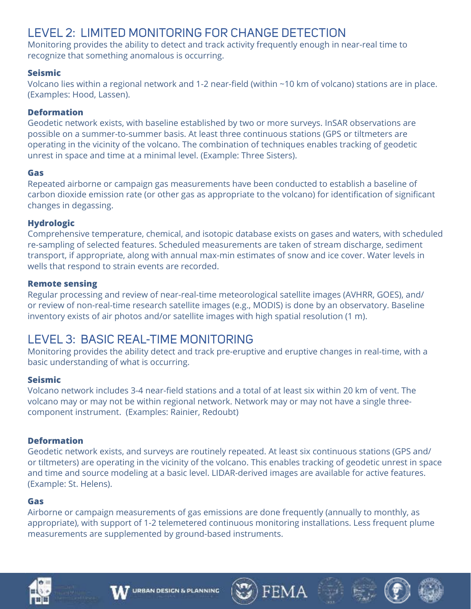## LEVEL 2: LIMITED MONITORING FOR CHANGE DETECTION

Monitoring provides the ability to detect and track activity frequently enough in near-real time to recognize that something anomalous is occurring.

### **Seismic**

Volcano lies within a regional network and 1-2 near-field (within ~10 km of volcano) stations are in place. (Examples: Hood, Lassen).

### **Deformation**

Geodetic network exists, with baseline established by two or more surveys. InSAR observations are possible on a summer-to-summer basis. At least three continuous stations (GPS or tiltmeters are operating in the vicinity of the volcano. The combination of techniques enables tracking of geodetic unrest in space and time at a minimal level. (Example: Three Sisters).

#### **Gas**

Repeated airborne or campaign gas measurements have been conducted to establish a baseline of carbon dioxide emission rate (or other gas as appropriate to the volcano) for identification of significant changes in degassing.

### **Hydrologic**

Comprehensive temperature, chemical, and isotopic database exists on gases and waters, with scheduled re-sampling of selected features. Scheduled measurements are taken of stream discharge, sediment transport, if appropriate, along with annual max-min estimates of snow and ice cover. Water levels in wells that respond to strain events are recorded.

#### **Remote sensing**

Regular processing and review of near-real-time meteorological satellite images (AVHRR, GOES), and/ or review of non-real-time research satellite images (e.g., MODIS) is done by an observatory. Baseline inventory exists of air photos and/or satellite images with high spatial resolution (1 m).

## LEVEL 3: BASIC REAL-TIME MONITORING

Monitoring provides the ability detect and track pre-eruptive and eruptive changes in real-time, with a basic understanding of what is occurring.

## **Seismic**

Volcano network includes 3-4 near-field stations and a total of at least six within 20 km of vent. The volcano may or may not be within regional network. Network may or may not have a single threecomponent instrument. (Examples: Rainier, Redoubt)

#### **Deformation**

Geodetic network exists, and surveys are routinely repeated. At least six continuous stations (GPS and/ or tiltmeters) are operating in the vicinity of the volcano. This enables tracking of geodetic unrest in space and time and source modeling at a basic level. LIDAR-derived images are available for active features. (Example: St. Helens).

#### **Gas**

Airborne or campaign measurements of gas emissions are done frequently (annually to monthly, as appropriate), with support of 1-2 telemetered continuous monitoring installations. Less frequent plume measurements are supplemented by ground-based instruments.

FEMA



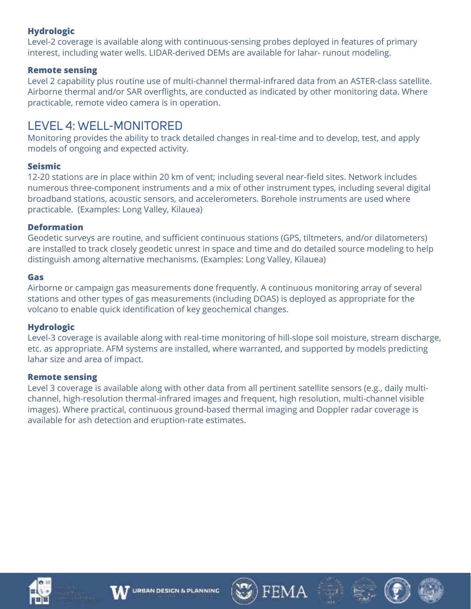## **Hydrologic**

Level-2 coverage is available along with continuous-sensing probes deployed in features of primary interest, including water wells. LIDAR-derived DEMs are available for lahar- runout modeling.

#### **Remote sensing**

Level 2 capability plus routine use of multi-channel thermal-infrared data from an ASTER-class satellite. Airborne thermal and/or SAR overflights, are conducted as indicated by other monitoring data. Where practicable, remote video camera is in operation.

## LEVEL 4: WELL-MONITORED

Monitoring provides the ability to track detailed changes in real-time and to develop, test, and apply models of ongoing and expected activity.

#### **Seismic**

12-20 stations are in place within 20 km of vent; including several near-field sites. Network includes numerous three-component instruments and a mix of other instrument types, including several digital broadband stations, acoustic sensors, and accelerometers. Borehole instruments are used where practicable. (Examples: Long Valley, Kilauea)

#### **Deformation**

Geodetic surveys are routine, and sufficient continuous stations (GPS, tiltmeters, and/or dilatometers) are installed to track closely geodetic unrest in space and time and do detailed source modeling to help distinguish among alternative mechanisms. (Examples: Long Valley, Kilauea)

#### **Gas**

Airborne or campaign gas measurements done frequently. A continuous monitoring array of several stations and other types of gas measurements (including DOAS) is deployed as appropriate for the volcano to enable quick identification of key geochemical changes.

#### **Hydrologic**

Level-3 coverage is available along with real-time monitoring of hill-slope soil moisture, stream discharge, etc. as appropriate. AFM systems are installed, where warranted, and supported by models predicting lahar size and area of impact.

#### **Remote sensing**

Level 3 coverage is available along with other data from all pertinent satellite sensors (e.g., daily multichannel, high-resolution thermal-infrared images and frequent, high resolution, multi-channel visible images). Where practical, continuous ground-based thermal imaging and Doppler radar coverage is available for ash detection and eruption-rate estimates.